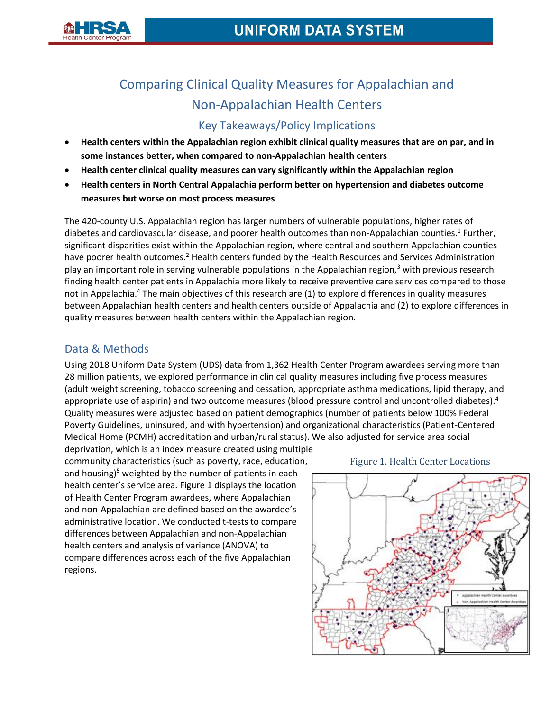

# Comparing Clinical Quality Measures for Appalachian and Non-Appalachian Health Centers

# Key Takeaways/Policy Implications

- **Health centers within the Appalachian region exhibit clinical quality measures that are on par, and in some instances better, when compared to non-Appalachian health centers**
- **Health center clinical quality measures can vary significantly within the Appalachian region**
- **Health centers in North Central Appalachia perform better on hypertension and diabetes outcome measures but worse on most process measures**

The 420-county U.S. Appalachian region has larger numbers of vulnerable populations, higher rates of diabetes and cardiovascular disease, and poorer health outcomes than non-Appalachian counties.<sup>1</sup> Further, significant disparities exist within the Appalachian region, where central and southern Appalachian counties have poorer health outcomes.<sup>2</sup> Health centers funded by the Health Resources and Services Administration play an important role in serving vulnerable populations in the Appalachian region, $3$  with previous research finding health center patients in Appalachia more likely to receive preventive care services compared to those not in Appalachia.<sup>4</sup> The main objectives of this research are (1) to explore differences in quality measures between Appalachian health centers and health centers outside of Appalachia and (2) to explore differences in quality measures between health centers within the Appalachian region.

## Data & Methods

Using 2018 Uniform Data System (UDS) data from 1,362 Health Center Program awardees serving more than 28 million patients, we explored performance in clinical quality measures including five process measures (adult weight screening, tobacco screening and cessation, appropriate asthma medications, lipid therapy, and appropriate use of aspirin) and two outcome measures (blood pressure control and uncontrolled diabetes).<sup>4</sup> Quality measures were adjusted based on patient demographics (number of patients below 100% Federal Poverty Guidelines, uninsured, and with hypertension) and organizational characteristics (Patient-Centered Medical Home (PCMH) accreditation and urban/rural status). We also adjusted for service area social

deprivation, which is an index measure created using multiple community characteristics (such as poverty, race, education, and housing) $5$  weighted by the number of patients in each health center's service area. Figure 1 displays the location of Health Center Program awardees, where Appalachian and non-Appalachian are defined based on the awardee's administrative location. We conducted t-tests to compare differences between Appalachian and non-Appalachian health centers and analysis of variance (ANOVA) to compare differences across each of the five Appalachian regions.



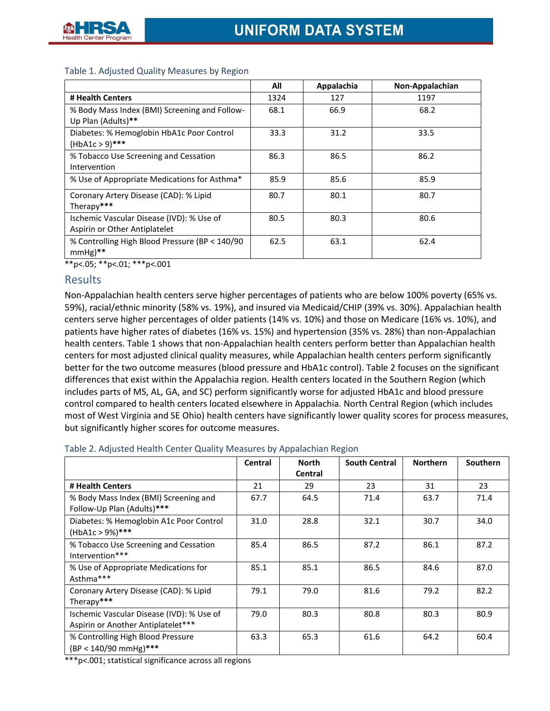|                                                                            | All  | Appalachia | Non-Appalachian |  |
|----------------------------------------------------------------------------|------|------------|-----------------|--|
| # Health Centers                                                           | 1324 | 127        | 1197            |  |
| % Body Mass Index (BMI) Screening and Follow-<br>Up Plan (Adults)**        | 68.1 | 66.9       | 68.2            |  |
| Diabetes: % Hemoglobin HbA1c Poor Control<br>$(HbA1c > 9)$ ***             | 33.3 | 31.2       | 33.5            |  |
| % Tobacco Use Screening and Cessation<br>Intervention                      | 86.3 | 86.5       | 86.2            |  |
| % Use of Appropriate Medications for Asthma*                               | 85.9 | 85.6       | 85.9            |  |
| Coronary Artery Disease (CAD): % Lipid<br>Therapy***                       | 80.7 | 80.1       | 80.7            |  |
| Ischemic Vascular Disease (IVD): % Use of<br>Aspirin or Other Antiplatelet | 80.5 | 80.3       | 80.6            |  |
| % Controlling High Blood Pressure (BP < 140/90)<br>$mmHe$ <sup>**</sup>    | 62.5 | 63.1       | 62.4            |  |

#### Table 1. Adjusted Quality Measures by Region

\*\*p<.05; \*\*p<.01; \*\*\*p<.001

### **Results**

Non-Appalachian health centers serve higher percentages of patients who are below 100% poverty (65% vs. 59%), racial/ethnic minority (58% vs. 19%), and insured via Medicaid/CHIP (39% vs. 30%). Appalachian health centers serve higher percentages of older patients (14% vs. 10%) and those on Medicare (16% vs. 10%), and patients have higher rates of diabetes (16% vs. 15%) and hypertension (35% vs. 28%) than non-Appalachian health centers. Table 1 shows that non-Appalachian health centers perform better than Appalachian health centers for most adjusted clinical quality measures, while Appalachian health centers perform significantly better for the two outcome measures (blood pressure and HbA1c control). Table 2 focuses on the significant differences that exist within the Appalachia region. Health centers located in the Southern Region (which includes parts of MS, AL, GA, and SC) perform significantly worse for adjusted HbA1c and blood pressure control compared to health centers located elsewhere in Appalachia. North Central Region (which includes most of West Virginia and SE Ohio) health centers have significantly lower quality scores for process measures, but significantly higher scores for outcome measures.

|                                                                                 | Central | <b>North</b>   | <b>South Central</b> | <b>Northern</b> | <b>Southern</b> |
|---------------------------------------------------------------------------------|---------|----------------|----------------------|-----------------|-----------------|
|                                                                                 |         | <b>Central</b> |                      |                 |                 |
| # Health Centers                                                                | 21      | 29             | 23                   | 31              | 23              |
| % Body Mass Index (BMI) Screening and<br>Follow-Up Plan (Adults)***             | 67.7    | 64.5           | 71.4                 | 63.7            | 71.4            |
| Diabetes: % Hemoglobin A1c Poor Control<br>$(HbA1c > 9%)***$                    | 31.0    | 28.8           | 32.1                 | 30.7            | 34.0            |
| % Tobacco Use Screening and Cessation<br>Intervention***                        | 85.4    | 86.5           | 87.2                 | 86.1            | 87.2            |
| % Use of Appropriate Medications for<br>Asthma***                               | 85.1    | 85.1           | 86.5                 | 84.6            | 87.0            |
| Coronary Artery Disease (CAD): % Lipid<br>Therapy***                            | 79.1    | 79.0           | 81.6                 | 79.2            | 82.2            |
| Ischemic Vascular Disease (IVD): % Use of<br>Aspirin or Another Antiplatelet*** | 79.0    | 80.3           | 80.8                 | 80.3            | 80.9            |
| % Controlling High Blood Pressure<br>(BP < 140/90 mmHg)***                      | 63.3    | 65.3           | 61.6                 | 64.2            | 60.4            |

\*\*\*p<.001; statistical significance across all regions